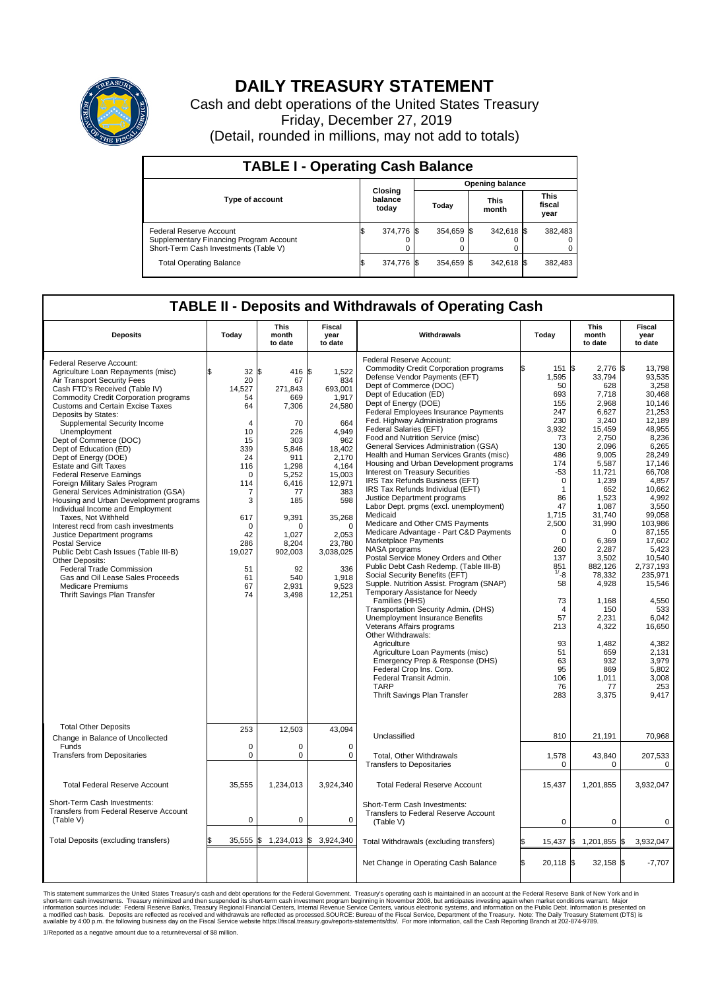

## **DAILY TREASURY STATEMENT**

Cash and debt operations of the United States Treasury Friday, December 27, 2019 (Detail, rounded in millions, may not add to totals)

| <b>TABLE I - Operating Cash Balance</b>                                                                     |  |                             |  |                        |  |                      |  |                               |  |  |  |
|-------------------------------------------------------------------------------------------------------------|--|-----------------------------|--|------------------------|--|----------------------|--|-------------------------------|--|--|--|
|                                                                                                             |  | Closing<br>balance<br>today |  | <b>Opening balance</b> |  |                      |  |                               |  |  |  |
| <b>Type of account</b>                                                                                      |  |                             |  | Today                  |  | <b>This</b><br>month |  | <b>This</b><br>fiscal<br>year |  |  |  |
| Federal Reserve Account<br>Supplementary Financing Program Account<br>Short-Term Cash Investments (Table V) |  | 374,776 \$                  |  | 354.659 \$             |  | 342,618 \$           |  | 382.483                       |  |  |  |
| <b>Total Operating Balance</b>                                                                              |  | 374,776 \$                  |  | 354.659 \$             |  | 342,618 \$           |  | 382,483                       |  |  |  |

## **TABLE II - Deposits and Withdrawals of Operating Cash**

| <b>Deposits</b>                                                                                                                                                                                                                                                                                                                                                                                                                                                                                                                                                                                                                                                                                                                                                                                                                                                                                                                       | Today                                                                                                                                                                                         | This<br>month<br>to date                                                                                                                                                                             | Fiscal<br>year<br>to date                                                                                                                                                                                                | Withdrawals                                                                                                                                                                                                                                                                                                                                                                                                                                                                                                                                                                                                                                                                                                                                                                                                                                                                                                                                                                                                                                                                                                                                                                                                                                                                                                                                       | Today                                                                                                                                                                                                                                                                                                     | <b>This</b><br>month<br>to date                                                                                                                                                                                                                                                                                                                 | Fiscal<br>year<br>to date                                                                                                                                                                                                                                                                                                                                      |
|---------------------------------------------------------------------------------------------------------------------------------------------------------------------------------------------------------------------------------------------------------------------------------------------------------------------------------------------------------------------------------------------------------------------------------------------------------------------------------------------------------------------------------------------------------------------------------------------------------------------------------------------------------------------------------------------------------------------------------------------------------------------------------------------------------------------------------------------------------------------------------------------------------------------------------------|-----------------------------------------------------------------------------------------------------------------------------------------------------------------------------------------------|------------------------------------------------------------------------------------------------------------------------------------------------------------------------------------------------------|--------------------------------------------------------------------------------------------------------------------------------------------------------------------------------------------------------------------------|---------------------------------------------------------------------------------------------------------------------------------------------------------------------------------------------------------------------------------------------------------------------------------------------------------------------------------------------------------------------------------------------------------------------------------------------------------------------------------------------------------------------------------------------------------------------------------------------------------------------------------------------------------------------------------------------------------------------------------------------------------------------------------------------------------------------------------------------------------------------------------------------------------------------------------------------------------------------------------------------------------------------------------------------------------------------------------------------------------------------------------------------------------------------------------------------------------------------------------------------------------------------------------------------------------------------------------------------------|-----------------------------------------------------------------------------------------------------------------------------------------------------------------------------------------------------------------------------------------------------------------------------------------------------------|-------------------------------------------------------------------------------------------------------------------------------------------------------------------------------------------------------------------------------------------------------------------------------------------------------------------------------------------------|----------------------------------------------------------------------------------------------------------------------------------------------------------------------------------------------------------------------------------------------------------------------------------------------------------------------------------------------------------------|
| Federal Reserve Account:<br>Agriculture Loan Repayments (misc)<br><b>Air Transport Security Fees</b><br>Cash FTD's Received (Table IV)<br><b>Commodity Credit Corporation programs</b><br><b>Customs and Certain Excise Taxes</b><br>Deposits by States:<br>Supplemental Security Income<br>Unemployment<br>Dept of Commerce (DOC)<br>Dept of Education (ED)<br>Dept of Energy (DOE)<br><b>Estate and Gift Taxes</b><br><b>Federal Reserve Earnings</b><br>Foreign Military Sales Program<br>General Services Administration (GSA)<br>Housing and Urban Development programs<br>Individual Income and Employment<br>Taxes. Not Withheld<br>Interest recd from cash investments<br>Justice Department programs<br><b>Postal Service</b><br>Public Debt Cash Issues (Table III-B)<br>Other Deposits:<br><b>Federal Trade Commission</b><br>Gas and Oil Lease Sales Proceeds<br><b>Medicare Premiums</b><br>Thrift Savings Plan Transfer | \$<br>$32 \,$ \$<br>20<br>14,527<br>54<br>64<br>$\overline{4}$<br>10<br>15<br>339<br>24<br>116<br>$\Omega$<br>114<br>7<br>3<br>617<br>$\Omega$<br>42<br>286<br>19,027<br>51<br>61<br>67<br>74 | 416 \$<br>67<br>271,843<br>669<br>7,306<br>70<br>226<br>303<br>5,846<br>911<br>1,298<br>5,252<br>6,416<br>77<br>185<br>9,391<br>$\Omega$<br>1,027<br>8,204<br>902,003<br>92<br>540<br>2,931<br>3,498 | 1,522<br>834<br>693,001<br>1,917<br>24,580<br>664<br>4,949<br>962<br>18,402<br>2.170<br>4,164<br>15,003<br>12,971<br>383<br>598<br>35,268<br>$\Omega$<br>2,053<br>23,780<br>3,038,025<br>336<br>1,918<br>9,523<br>12,251 | Federal Reserve Account:<br><b>Commodity Credit Corporation programs</b><br>Defense Vendor Payments (EFT)<br>Dept of Commerce (DOC)<br>Dept of Education (ED)<br>Dept of Energy (DOE)<br><b>Federal Employees Insurance Payments</b><br>Fed. Highway Administration programs<br>Federal Salaries (EFT)<br>Food and Nutrition Service (misc)<br>General Services Administration (GSA)<br>Health and Human Services Grants (misc)<br>Housing and Urban Development programs<br><b>Interest on Treasury Securities</b><br>IRS Tax Refunds Business (EFT)<br>IRS Tax Refunds Individual (EFT)<br>Justice Department programs<br>Labor Dept. prgms (excl. unemployment)<br>Medicaid<br>Medicare and Other CMS Payments<br>Medicare Advantage - Part C&D Payments<br>Marketplace Payments<br>NASA programs<br>Postal Service Money Orders and Other<br>Public Debt Cash Redemp. (Table III-B)<br>Social Security Benefits (EFT)<br>Supple. Nutrition Assist. Program (SNAP)<br>Temporary Assistance for Needy<br>Families (HHS)<br>Transportation Security Admin. (DHS)<br>Unemployment Insurance Benefits<br>Veterans Affairs programs<br>Other Withdrawals:<br>Agriculture<br>Agriculture Loan Payments (misc)<br>Emergency Prep & Response (DHS)<br>Federal Crop Ins. Corp.<br>Federal Transit Admin.<br><b>TARP</b><br>Thrift Savings Plan Transfer | 151<br>1,595<br>50<br>693<br>155<br>247<br>230<br>3.932<br>73<br>130<br>486<br>174<br>-53<br>$\mathbf 0$<br>$\mathbf{1}$<br>86<br>47<br>1,715<br>2,500<br>$\mathbf 0$<br>$\Omega$<br>260<br>137<br>851<br>$1/ - 8$<br>58<br>73<br>$\overline{4}$<br>57<br>213<br>93<br>51<br>63<br>95<br>106<br>76<br>283 | 2,776 \$<br>l\$<br>33,794<br>628<br>7,718<br>2,968<br>6,627<br>3,240<br>15,459<br>2,750<br>2,096<br>9,005<br>5,587<br>11,721<br>1,239<br>652<br>1,523<br>1,087<br>31,740<br>31,990<br>$\Omega$<br>6,369<br>2,287<br>3,502<br>882,126<br>78,332<br>4,928<br>1,168<br>150<br>2,231<br>4,322<br>1,482<br>659<br>932<br>869<br>1,011<br>77<br>3,375 | 13,798<br>93,535<br>3,258<br>30,468<br>10,146<br>21,253<br>12.189<br>48.955<br>8,236<br>6,265<br>28,249<br>17,146<br>66,708<br>4,857<br>10.662<br>4,992<br>3,550<br>99,058<br>103,986<br>87,155<br>17.602<br>5,423<br>10,540<br>2,737,193<br>235,971<br>15,546<br>4,550<br>533<br>6,042<br>16,650<br>4,382<br>2,131<br>3,979<br>5.802<br>3,008<br>253<br>9,417 |
| <b>Total Other Deposits</b><br>Change in Balance of Uncollected<br>Funds                                                                                                                                                                                                                                                                                                                                                                                                                                                                                                                                                                                                                                                                                                                                                                                                                                                              | 253<br>$\mathbf 0$                                                                                                                                                                            | 12,503<br>0                                                                                                                                                                                          | 43,094<br>$\mathbf 0$                                                                                                                                                                                                    | Unclassified                                                                                                                                                                                                                                                                                                                                                                                                                                                                                                                                                                                                                                                                                                                                                                                                                                                                                                                                                                                                                                                                                                                                                                                                                                                                                                                                      | 810                                                                                                                                                                                                                                                                                                       | 21,191                                                                                                                                                                                                                                                                                                                                          | 70,968                                                                                                                                                                                                                                                                                                                                                         |
| <b>Transfers from Depositaries</b>                                                                                                                                                                                                                                                                                                                                                                                                                                                                                                                                                                                                                                                                                                                                                                                                                                                                                                    | $\mathbf 0$                                                                                                                                                                                   | 0                                                                                                                                                                                                    | $\mathbf 0$                                                                                                                                                                                                              | Total, Other Withdrawals<br><b>Transfers to Depositaries</b>                                                                                                                                                                                                                                                                                                                                                                                                                                                                                                                                                                                                                                                                                                                                                                                                                                                                                                                                                                                                                                                                                                                                                                                                                                                                                      | 1,578<br>0                                                                                                                                                                                                                                                                                                | 43.840<br>0                                                                                                                                                                                                                                                                                                                                     | 207,533<br>0                                                                                                                                                                                                                                                                                                                                                   |
| <b>Total Federal Reserve Account</b>                                                                                                                                                                                                                                                                                                                                                                                                                                                                                                                                                                                                                                                                                                                                                                                                                                                                                                  | 35.555                                                                                                                                                                                        | 1,234,013                                                                                                                                                                                            | 3,924,340                                                                                                                                                                                                                | <b>Total Federal Reserve Account</b>                                                                                                                                                                                                                                                                                                                                                                                                                                                                                                                                                                                                                                                                                                                                                                                                                                                                                                                                                                                                                                                                                                                                                                                                                                                                                                              | 15,437                                                                                                                                                                                                                                                                                                    | 1,201,855                                                                                                                                                                                                                                                                                                                                       | 3.932.047                                                                                                                                                                                                                                                                                                                                                      |
| Short-Term Cash Investments:<br><b>Transfers from Federal Reserve Account</b><br>(Table V)                                                                                                                                                                                                                                                                                                                                                                                                                                                                                                                                                                                                                                                                                                                                                                                                                                            | $\pmb{0}$                                                                                                                                                                                     | 0                                                                                                                                                                                                    | 0                                                                                                                                                                                                                        | Short-Term Cash Investments:<br>Transfers to Federal Reserve Account<br>(Table V)                                                                                                                                                                                                                                                                                                                                                                                                                                                                                                                                                                                                                                                                                                                                                                                                                                                                                                                                                                                                                                                                                                                                                                                                                                                                 | $\pmb{0}$                                                                                                                                                                                                                                                                                                 | 0                                                                                                                                                                                                                                                                                                                                               | 0                                                                                                                                                                                                                                                                                                                                                              |
| Total Deposits (excluding transfers)                                                                                                                                                                                                                                                                                                                                                                                                                                                                                                                                                                                                                                                                                                                                                                                                                                                                                                  | $35.555$ \$                                                                                                                                                                                   |                                                                                                                                                                                                      | 1,234,013 \$ 3,924,340                                                                                                                                                                                                   | Total Withdrawals (excluding transfers)                                                                                                                                                                                                                                                                                                                                                                                                                                                                                                                                                                                                                                                                                                                                                                                                                                                                                                                                                                                                                                                                                                                                                                                                                                                                                                           | 15,437                                                                                                                                                                                                                                                                                                    | 1,201,855 \$<br>1\$                                                                                                                                                                                                                                                                                                                             | 3,932,047                                                                                                                                                                                                                                                                                                                                                      |
|                                                                                                                                                                                                                                                                                                                                                                                                                                                                                                                                                                                                                                                                                                                                                                                                                                                                                                                                       |                                                                                                                                                                                               |                                                                                                                                                                                                      |                                                                                                                                                                                                                          | Net Change in Operating Cash Balance                                                                                                                                                                                                                                                                                                                                                                                                                                                                                                                                                                                                                                                                                                                                                                                                                                                                                                                                                                                                                                                                                                                                                                                                                                                                                                              | l\$<br>$20,118$ \$                                                                                                                                                                                                                                                                                        | $32,158$ \$                                                                                                                                                                                                                                                                                                                                     | $-7,707$                                                                                                                                                                                                                                                                                                                                                       |

This statement summarizes the United States Treasury's cash and debt operations for the Federal Government. Treasury operating in November 2008, but anticingates investing again when market conditions warrant. Major York a

1/Reported as a negative amount due to a return/reversal of \$8 million.